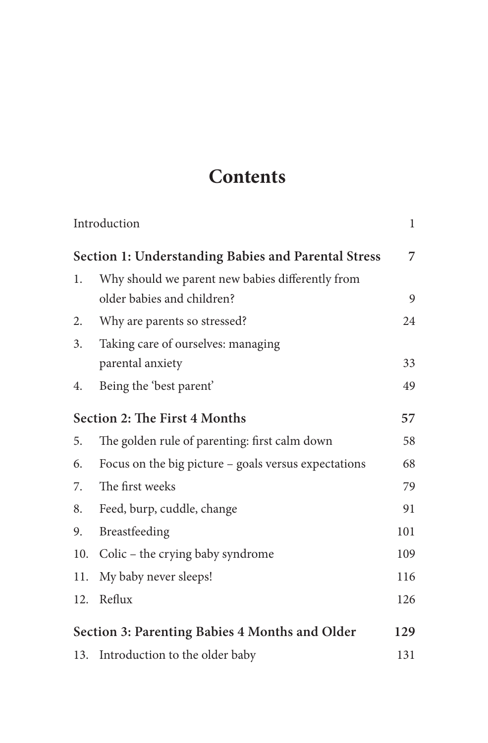## **Contents**

|                                                            | Introduction                                         | $\mathbf{1}$ |
|------------------------------------------------------------|------------------------------------------------------|--------------|
| <b>Section 1: Understanding Babies and Parental Stress</b> |                                                      |              |
| 1.                                                         | Why should we parent new babies differently from     |              |
|                                                            | older babies and children?                           | 9            |
| 2.                                                         | Why are parents so stressed?                         | 24           |
| 3.                                                         | Taking care of ourselves: managing                   |              |
|                                                            | parental anxiety                                     | 33           |
| 4.                                                         | Being the 'best parent'                              | 49           |
| Section 2: The First 4 Months                              |                                                      | 57           |
| 5.                                                         | The golden rule of parenting: first calm down        | 58           |
| 6.                                                         | Focus on the big picture - goals versus expectations | 68           |
| 7.                                                         | The first weeks                                      | 79           |
| 8.                                                         | Feed, burp, cuddle, change                           | 91           |
| 9.                                                         | Breastfeeding                                        | 101          |
| 10.                                                        | Colic – the crying baby syndrome                     | 109          |
| 11.                                                        | My baby never sleeps!                                | 116          |
| 12.                                                        | Reflux                                               | 126          |
| Section 3: Parenting Babies 4 Months and Older             |                                                      |              |
|                                                            | 13. Introduction to the older baby                   | 131          |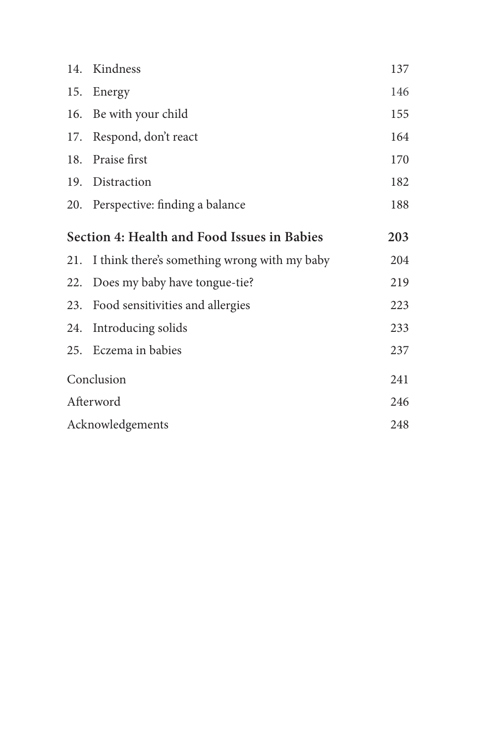|                                             | 14. Kindness                                     | 137 |
|---------------------------------------------|--------------------------------------------------|-----|
| 15.                                         | Energy                                           | 146 |
|                                             | 16. Be with your child                           | 155 |
|                                             | 17. Respond, don't react                         | 164 |
|                                             | 18. Praise first                                 | 170 |
|                                             | 19. Distraction                                  | 182 |
|                                             | 20. Perspective: finding a balance               | 188 |
| Section 4: Health and Food Issues in Babies |                                                  | 203 |
|                                             | 21. I think there's something wrong with my baby | 204 |
|                                             | 22. Does my baby have tongue-tie?                | 219 |
|                                             | 23. Food sensitivities and allergies             | 223 |
|                                             | 24. Introducing solids                           | 233 |
|                                             | 25. Eczema in babies                             | 237 |
| Conclusion                                  |                                                  | 241 |
| Afterword                                   |                                                  | 246 |
| Acknowledgements                            |                                                  | 248 |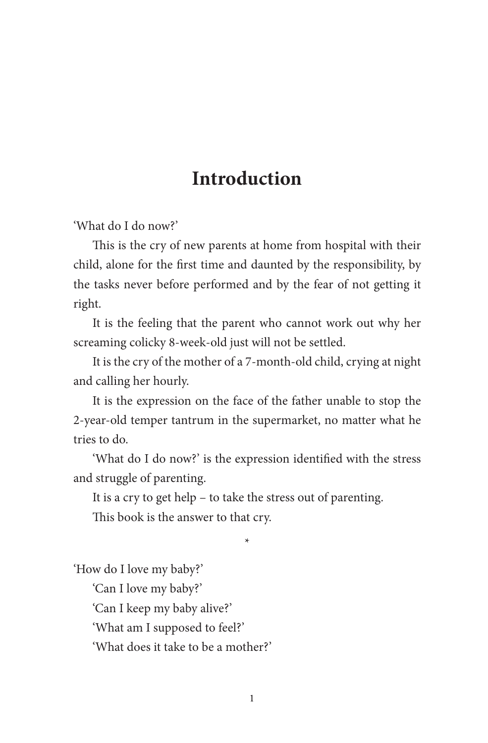## **Introduction**

'What do I do now?'

This is the cry of new parents at home from hospital with their child, alone for the first time and daunted by the responsibility, by the tasks never before performed and by the fear of not getting it right.

It is the feeling that the parent who cannot work out why her screaming colicky 8-week-old just will not be settled.

It is the cry of the mother of a 7-month-old child, crying at night and calling her hourly.

It is the expression on the face of the father unable to stop the 2-year-old temper tantrum in the supermarket, no matter what he tries to do.

'What do I do now?' is the expression identified with the stress and struggle of parenting.

\*

It is a cry to get help – to take the stress out of parenting.

This book is the answer to that cry.

'How do I love my baby?'

'Can I love my baby?'

'Can I keep my baby alive?'

'What am I supposed to feel?'

'What does it take to be a mother?'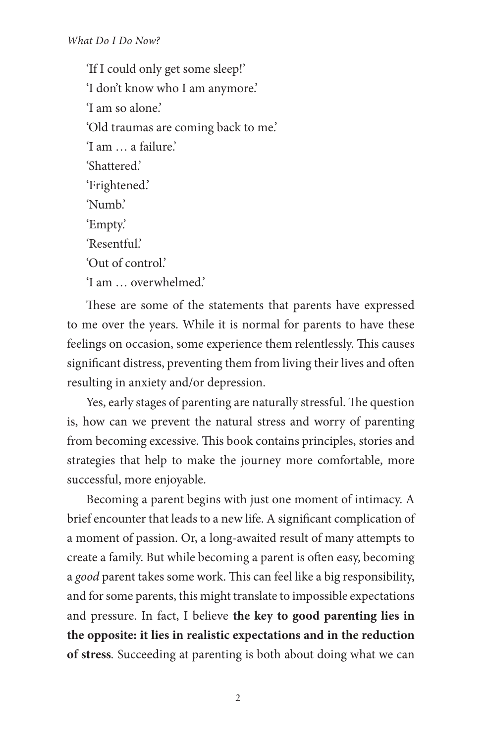'If I could only get some sleep!' 'I don't know who I am anymore.' 'I am so alone.' 'Old traumas are coming back to me.' 'I am … a failure.' 'Shattered.' 'Frightened.' 'Numb.' 'Empty.' 'Resentful' 'Out of control.' 'I am … overwhelmed.'

These are some of the statements that parents have expressed to me over the years. While it is normal for parents to have these feelings on occasion, some experience them relentlessly. This causes significant distress, preventing them from living their lives and often resulting in anxiety and/or depression.

Yes, early stages of parenting are naturally stressful. The question is, how can we prevent the natural stress and worry of parenting from becoming excessive. This book contains principles, stories and strategies that help to make the journey more comfortable, more successful, more enjoyable.

Becoming a parent begins with just one moment of intimacy. A brief encounter that leads to a new life. A significant complication of a moment of passion. Or, a long-awaited result of many attempts to create a family. But while becoming a parent is often easy, becoming a *good* parent takes some work. This can feel like a big responsibility, and for some parents, this might translate to impossible expectations and pressure. In fact, I believe **the key to good parenting lies in the opposite: it lies in realistic expectations and in the reduction of stress***.* Succeeding at parenting is both about doing what we can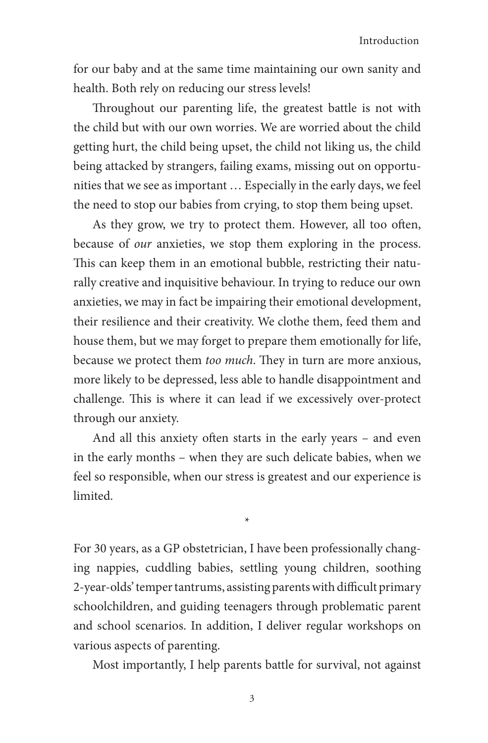for our baby and at the same time maintaining our own sanity and health. Both rely on reducing our stress levels!

Throughout our parenting life, the greatest battle is not with the child but with our own worries. We are worried about the child getting hurt, the child being upset, the child not liking us, the child being attacked by strangers, failing exams, missing out on opportunities that we see as important … Especially in the early days, we feel the need to stop our babies from crying, to stop them being upset.

As they grow, we try to protect them. However, all too often, because of *our* anxieties, we stop them exploring in the process. This can keep them in an emotional bubble, restricting their naturally creative and inquisitive behaviour. In trying to reduce our own anxieties, we may in fact be impairing their emotional development, their resilience and their creativity. We clothe them, feed them and house them, but we may forget to prepare them emotionally for life, because we protect them *too much*. They in turn are more anxious, more likely to be depressed, less able to handle disappointment and challenge. This is where it can lead if we excessively over-protect through our anxiety.

And all this anxiety often starts in the early years – and even in the early months – when they are such delicate babies, when we feel so responsible, when our stress is greatest and our experience is limited.

\*

For 30 years, as a GP obstetrician, I have been professionally changing nappies, cuddling babies, settling young children, soothing 2-year-olds' temper tantrums, assisting parents with difficult primary schoolchildren, and guiding teenagers through problematic parent and school scenarios. In addition, I deliver regular workshops on various aspects of parenting.

Most importantly, I help parents battle for survival, not against

3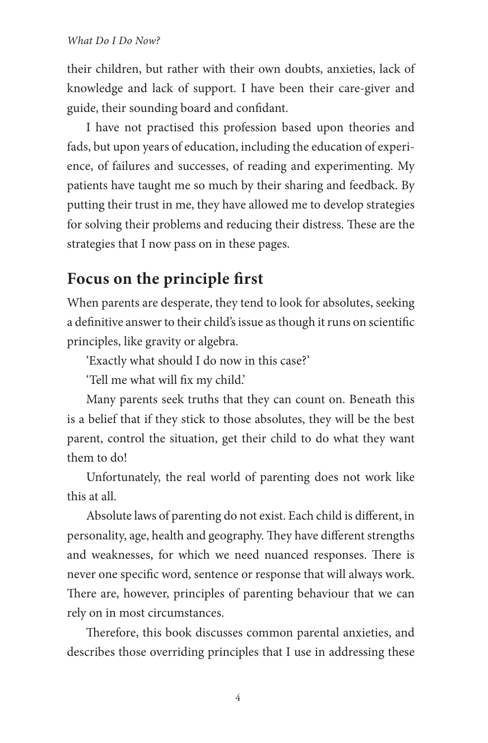their children, but rather with their own doubts, anxieties, lack of knowledge and lack of support. I have been their care-giver and guide, their sounding board and confidant.

I have not practised this profession based upon theories and fads, but upon years of education, including the education of experience, of failures and successes, of reading and experimenting. My patients have taught me so much by their sharing and feedback. By putting their trust in me, they have allowed me to develop strategies for solving their problems and reducing their distress. These are the strategies that I now pass on in these pages.

## **Focus on the principle first**

When parents are desperate, they tend to look for absolutes, seeking a definitive answer to their child's issue as though it runs on scientific principles, like gravity or algebra.

'Exactly what should I do now in this case?'

'Tell me what will fix my child.'

Many parents seek truths that they can count on. Beneath this is a belief that if they stick to those absolutes, they will be the best parent, control the situation, get their child to do what they want them to do!

Unfortunately, the real world of parenting does not work like this at all.

Absolute laws of parenting do not exist. Each child is different, in personality, age, health and geography. They have different strengths and weaknesses, for which we need nuanced responses. There is never one specific word, sentence or response that will always work. There are, however, principles of parenting behaviour that we can rely on in most circumstances.

Therefore, this book discusses common parental anxieties, and describes those overriding principles that I use in addressing these

4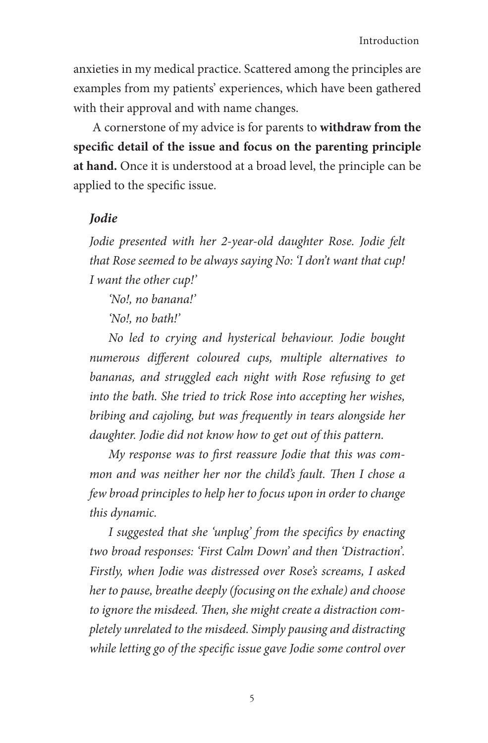anxieties in my medical practice. Scattered among the principles are examples from my patients' experiences, which have been gathered with their approval and with name changes.

A cornerstone of my advice is for parents to **withdraw from the specific detail of the issue and focus on the parenting principle at hand.** Once it is understood at a broad level, the principle can be applied to the specific issue.

## *Jodie*

*Jodie presented with her 2-year-old daughter Rose. Jodie felt that Rose seemed to be always saying No: 'I don't want that cup! I want the other cup!'* 

*'No!, no banana!'* 

*'No!, no bath!'* 

*No led to crying and hysterical behaviour. Jodie bought numerous different coloured cups, multiple alternatives to bananas, and struggled each night with Rose refusing to get into the bath. She tried to trick Rose into accepting her wishes, bribing and cajoling, but was frequently in tears alongside her daughter. Jodie did not know how to get out of this pattern.* 

*My response was to first reassure Jodie that this was common and was neither her nor the child's fault. Then I chose a few broad principles to help her to focus upon in order to change this dynamic.*

*I suggested that she 'unplug' from the specifics by enacting two broad responses: 'First Calm Down' and then 'Distraction'. Firstly, when Jodie was distressed over Rose's screams, I asked her to pause, breathe deeply (focusing on the exhale) and choose to ignore the misdeed. Then, she might create a distraction completely unrelated to the misdeed. Simply pausing and distracting while letting go of the specific issue gave Jodie some control over*